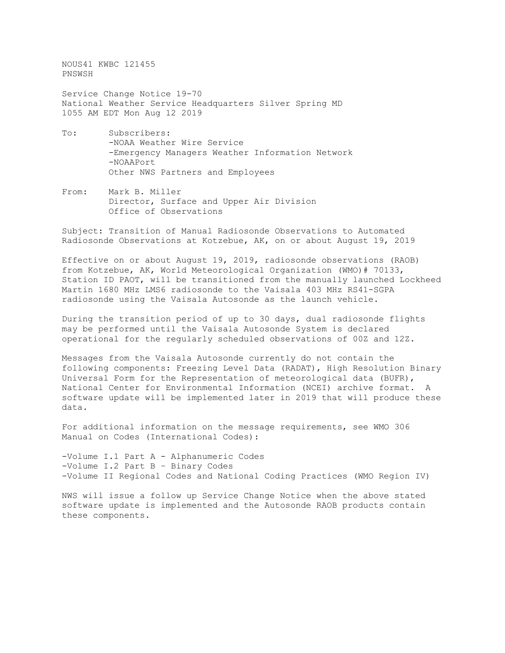NOUS41 KWBC 121455 PNSWSH

Service Change Notice 19-70 National Weather Service Headquarters Silver Spring MD 1055 AM EDT Mon Aug 12 2019

- To: Subscribers: -NOAA Weather Wire Service -Emergency Managers Weather Information Network -NOAAPort Other NWS Partners and Employees
- From: Mark B. Miller Director, Surface and Upper Air Division Office of Observations

Subject: Transition of Manual Radiosonde Observations to Automated Radiosonde Observations at Kotzebue, AK, on or about August 19, 2019

Effective on or about August 19, 2019, radiosonde observations (RAOB) from Kotzebue, AK, World Meteorological Organization (WMO)# 70133, Station ID PAOT, will be transitioned from the manually launched Lockheed Martin 1680 MHz LMS6 radiosonde to the Vaisala 403 MHz RS41-SGPA radiosonde using the Vaisala Autosonde as the launch vehicle.

During the transition period of up to 30 days, dual radiosonde flights may be performed until the Vaisala Autosonde System is declared operational for the regularly scheduled observations of 00Z and 12Z.

Messages from the Vaisala Autosonde currently do not contain the following components: Freezing Level Data (RADAT), High Resolution Binary Universal Form for the Representation of meteorological data (BUFR), National Center for Environmental Information (NCEI) archive format. A software update will be implemented later in 2019 that will produce these data.

For additional information on the message requirements, see WMO 306 Manual on Codes (International Codes):

-Volume I.1 Part A - Alphanumeric Codes -Volume I.2 Part B – Binary Codes -Volume II Regional Codes and National Coding Practices (WMO Region IV)

NWS will issue a follow up Service Change Notice when the above stated software update is implemented and the Autosonde RAOB products contain these components.